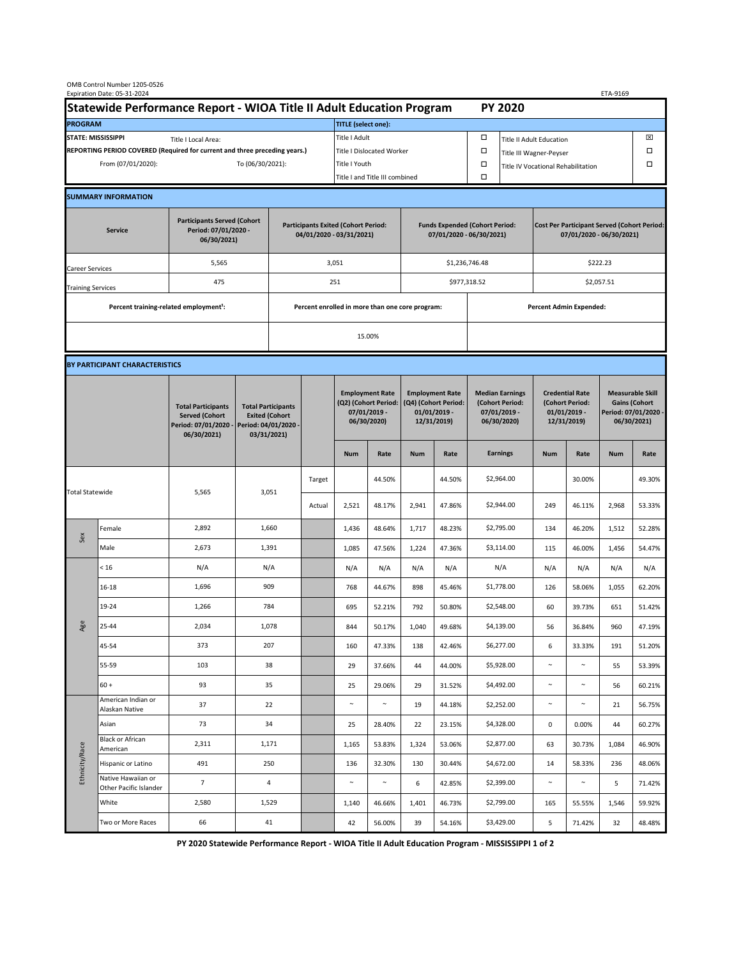|                                                                                             | OMB Control Number 1205-0526<br>Expiration Date: 05-31-2024 |                                                                                           |                                                                                           |     |        |                                                                               |                                                                   |                                                                                 |        |                                                                            |                                                                                |                                                                            |        | ETA-9169                                                                               |        |  |
|---------------------------------------------------------------------------------------------|-------------------------------------------------------------|-------------------------------------------------------------------------------------------|-------------------------------------------------------------------------------------------|-----|--------|-------------------------------------------------------------------------------|-------------------------------------------------------------------|---------------------------------------------------------------------------------|--------|----------------------------------------------------------------------------|--------------------------------------------------------------------------------|----------------------------------------------------------------------------|--------|----------------------------------------------------------------------------------------|--------|--|
| Statewide Performance Report - WIOA Title II Adult Education Program                        |                                                             |                                                                                           |                                                                                           |     |        | <b>PY 2020</b>                                                                |                                                                   |                                                                                 |        |                                                                            |                                                                                |                                                                            |        |                                                                                        |        |  |
| <b>PROGRAM</b>                                                                              |                                                             |                                                                                           |                                                                                           |     |        | <b>TITLE</b> (select one):                                                    |                                                                   |                                                                                 |        |                                                                            |                                                                                |                                                                            |        |                                                                                        |        |  |
| <b>STATE: MISSISSIPPI</b><br>Title I Local Area:                                            |                                                             |                                                                                           |                                                                                           |     |        | Title I Adult                                                                 |                                                                   |                                                                                 |        | □<br><b>Title II Adult Education</b>                                       |                                                                                |                                                                            |        |                                                                                        | ⊠      |  |
| REPORTING PERIOD COVERED (Required for current and three preceding years.)                  |                                                             |                                                                                           |                                                                                           |     |        | Title I Dislocated Worker                                                     |                                                                   |                                                                                 |        | Ω                                                                          | □<br>Title III Wagner-Peyser                                                   |                                                                            |        |                                                                                        |        |  |
| To (06/30/2021):<br>From (07/01/2020):                                                      |                                                             |                                                                                           | Title I Youth                                                                             |     |        |                                                                               |                                                                   |                                                                                 | $\Box$ | Title IV Vocational Rehabilitation                                         |                                                                                |                                                                            |        | □                                                                                      |        |  |
|                                                                                             |                                                             |                                                                                           |                                                                                           |     |        |                                                                               | Title I and Title III combined                                    |                                                                                 |        | Ω                                                                          |                                                                                |                                                                            |        |                                                                                        |        |  |
|                                                                                             | <b>SUMMARY INFORMATION</b>                                  |                                                                                           |                                                                                           |     |        |                                                                               |                                                                   |                                                                                 |        |                                                                            |                                                                                |                                                                            |        |                                                                                        |        |  |
| <b>Participants Served (Cohort</b><br>Period: 07/01/2020 -<br><b>Service</b><br>06/30/2021) |                                                             |                                                                                           | <b>Participants Exited (Cohort Period:</b><br>04/01/2020 - 03/31/2021)                    |     |        |                                                                               | <b>Funds Expended (Cohort Period:</b><br>07/01/2020 - 06/30/2021) |                                                                                 |        |                                                                            | <b>Cost Per Participant Served (Cohort Period:</b><br>07/01/2020 - 06/30/2021) |                                                                            |        |                                                                                        |        |  |
| Career Services                                                                             |                                                             | 5,565                                                                                     |                                                                                           |     |        | 3,051                                                                         |                                                                   |                                                                                 |        | \$1,236,746.48                                                             |                                                                                | \$222.23                                                                   |        |                                                                                        |        |  |
| <b>Training Services</b>                                                                    |                                                             | 475                                                                                       |                                                                                           | 251 |        |                                                                               |                                                                   |                                                                                 |        | \$977,318.52                                                               |                                                                                | \$2,057.51                                                                 |        |                                                                                        |        |  |
|                                                                                             | Percent training-related employment <sup>1</sup> :          |                                                                                           | Percent enrolled in more than one core program:                                           |     |        |                                                                               |                                                                   |                                                                                 |        | <b>Percent Admin Expended:</b>                                             |                                                                                |                                                                            |        |                                                                                        |        |  |
|                                                                                             |                                                             |                                                                                           |                                                                                           |     |        | 15.00%                                                                        |                                                                   |                                                                                 |        |                                                                            |                                                                                |                                                                            |        |                                                                                        |        |  |
|                                                                                             |                                                             |                                                                                           |                                                                                           |     |        |                                                                               |                                                                   |                                                                                 |        |                                                                            |                                                                                |                                                                            |        |                                                                                        |        |  |
|                                                                                             | BY PARTICIPANT CHARACTERISTICS                              |                                                                                           |                                                                                           |     |        |                                                                               |                                                                   |                                                                                 |        |                                                                            |                                                                                |                                                                            |        |                                                                                        |        |  |
|                                                                                             |                                                             | <b>Total Participants</b><br><b>Served (Cohort</b><br>Period: 07/01/2020 -<br>06/30/2021) | <b>Total Participants</b><br><b>Exited (Cohort</b><br>Period: 04/01/2020 -<br>03/31/2021) |     |        | <b>Employment Rate</b><br>(Q2) (Cohort Period:<br>07/01/2019 -<br>06/30/2020) |                                                                   | <b>Employment Rate</b><br>(Q4) (Cohort Period:<br>$01/01/2019$ -<br>12/31/2019) |        | <b>Median Earnings</b><br>(Cohort Period:<br>$07/01/2019 -$<br>06/30/2020) |                                                                                | <b>Credential Rate</b><br>(Cohort Period:<br>$01/01/2019$ -<br>12/31/2019) |        | <b>Measurable Skill</b><br><b>Gains (Cohort</b><br>Period: 07/01/2020 -<br>06/30/2021) |        |  |
|                                                                                             |                                                             |                                                                                           |                                                                                           |     |        | <b>Num</b>                                                                    | Rate                                                              | <b>Num</b>                                                                      | Rate   |                                                                            | <b>Earnings</b>                                                                | <b>Num</b>                                                                 | Rate   | <b>Num</b>                                                                             | Rate   |  |
| <b>Total Statewide</b>                                                                      |                                                             | 5,565                                                                                     | 3,051                                                                                     |     | Target |                                                                               | 44.50%                                                            |                                                                                 | 44.50% |                                                                            | \$2,964.00                                                                     |                                                                            | 30.00% |                                                                                        | 49.30% |  |
|                                                                                             |                                                             |                                                                                           |                                                                                           |     | Actual | 2,521                                                                         | 48.17%                                                            | 2,941                                                                           | 47.86% |                                                                            | \$2,944.00                                                                     | 249                                                                        | 46.11% | 2,968                                                                                  | 53.33% |  |
| Sex                                                                                         | Female                                                      | 2,892                                                                                     | 1,660                                                                                     |     |        | 1,436                                                                         | 48.64%                                                            | 1,717                                                                           | 48.23% |                                                                            | \$2,795.00                                                                     | 134                                                                        | 46.20% | 1,512                                                                                  | 52.28% |  |
|                                                                                             | Male                                                        | 2,673                                                                                     | 1,391                                                                                     |     |        | 1,085                                                                         | 47.56%                                                            | 1,224                                                                           | 47.36% |                                                                            | \$3,114.00                                                                     | 115                                                                        | 46.00% | 1,456                                                                                  | 54.47% |  |
| Age                                                                                         | < 16                                                        | N/A                                                                                       | N/A                                                                                       |     |        | N/A                                                                           | N/A                                                               | N/A                                                                             | N/A    |                                                                            | N/A                                                                            | N/A                                                                        | N/A    | N/A                                                                                    | N/A    |  |
|                                                                                             | $16 - 18$                                                   | 1,696                                                                                     | 909                                                                                       |     |        | 768                                                                           | 44.67%                                                            | 898                                                                             | 45.46% |                                                                            | \$1,778.00                                                                     | 126                                                                        | 58.06% | 1,055                                                                                  | 62.20% |  |
|                                                                                             | 19-24                                                       | 1,266                                                                                     | 784                                                                                       |     |        | 695                                                                           | 52.21%                                                            | 792                                                                             | 50.80% |                                                                            | \$2,548.00                                                                     | 60                                                                         | 39.73% | 651                                                                                    | 51.42% |  |
|                                                                                             | 25-44                                                       | 2,034                                                                                     | 1,078                                                                                     |     |        | 844                                                                           | 50.17%                                                            | 1,040                                                                           | 49.68% |                                                                            | \$4,139.00                                                                     | 56                                                                         | 36.84% | 960                                                                                    | 47.19% |  |
|                                                                                             | 45-54                                                       | 373                                                                                       | 207                                                                                       |     |        | 160                                                                           | 47.33%                                                            | 138                                                                             | 42.46% |                                                                            | \$6,277.00                                                                     | $\boldsymbol{6}$                                                           | 33.33% | 191                                                                                    | 51.20% |  |
|                                                                                             | 55-59                                                       | 103                                                                                       | 38                                                                                        |     |        | 29                                                                            | 37.66%                                                            | 44                                                                              | 44.00% |                                                                            | \$5,928.00                                                                     | $\sim$                                                                     | $\sim$ | 55                                                                                     | 53.39% |  |
|                                                                                             | $60 +$                                                      | 93                                                                                        | 35                                                                                        |     |        | 25                                                                            | 29.06%                                                            | 29                                                                              | 31.52% |                                                                            | \$4,492.00                                                                     | $\sim$                                                                     | $\sim$ | 56                                                                                     | 60.21% |  |
| Ethnicity/Race                                                                              | American Indian or<br>Alaskan Native                        | 37                                                                                        | 22                                                                                        |     |        | $\sim$                                                                        | $\sim$                                                            | 19                                                                              | 44.18% |                                                                            | \$2,252.00                                                                     | $\sim$                                                                     | $\sim$ | 21                                                                                     | 56.75% |  |
|                                                                                             | Asian                                                       | 73                                                                                        | 34                                                                                        |     |        | 25                                                                            | 28.40%                                                            | 22                                                                              | 23.15% |                                                                            | \$4,328.00                                                                     | 0                                                                          | 0.00%  | 44                                                                                     | 60.27% |  |
|                                                                                             | <b>Black or African</b><br>American                         | 2,311                                                                                     | 1,171                                                                                     |     |        | 1,165                                                                         | 53.83%                                                            | 1,324                                                                           | 53.06% |                                                                            | \$2,877.00                                                                     | 63                                                                         | 30.73% | 1,084                                                                                  | 46.90% |  |
|                                                                                             | Hispanic or Latino                                          | 491                                                                                       | 250                                                                                       |     |        | 136                                                                           | 32.30%                                                            | 130                                                                             | 30.44% |                                                                            | \$4,672.00                                                                     | 14                                                                         | 58.33% | 236                                                                                    | 48.06% |  |
|                                                                                             | Native Hawaiian or<br>Other Pacific Islander                | $\overline{7}$                                                                            | 4                                                                                         |     |        | $\sim$                                                                        | $\sim$                                                            | 6                                                                               | 42.85% |                                                                            | \$2,399.00                                                                     | $\sim$                                                                     | $\sim$ | 5                                                                                      | 71.42% |  |
|                                                                                             | White                                                       | 2,580                                                                                     | 1,529                                                                                     |     |        | 1,140                                                                         | 46.66%                                                            | 1,401                                                                           | 46.73% |                                                                            | \$2,799.00                                                                     | 165                                                                        | 55.55% | 1,546                                                                                  | 59.92% |  |
|                                                                                             | Two or More Races                                           | 66                                                                                        | 41                                                                                        |     |        | 42                                                                            | 56.00%                                                            | 39                                                                              | 54.16% |                                                                            | \$3,429.00                                                                     | 5                                                                          | 71.42% | 32                                                                                     | 48.48% |  |

**PY 2020 Statewide Performance Report - WIOA Title II Adult Education Program - MISSISSIPPI 1 of 2**